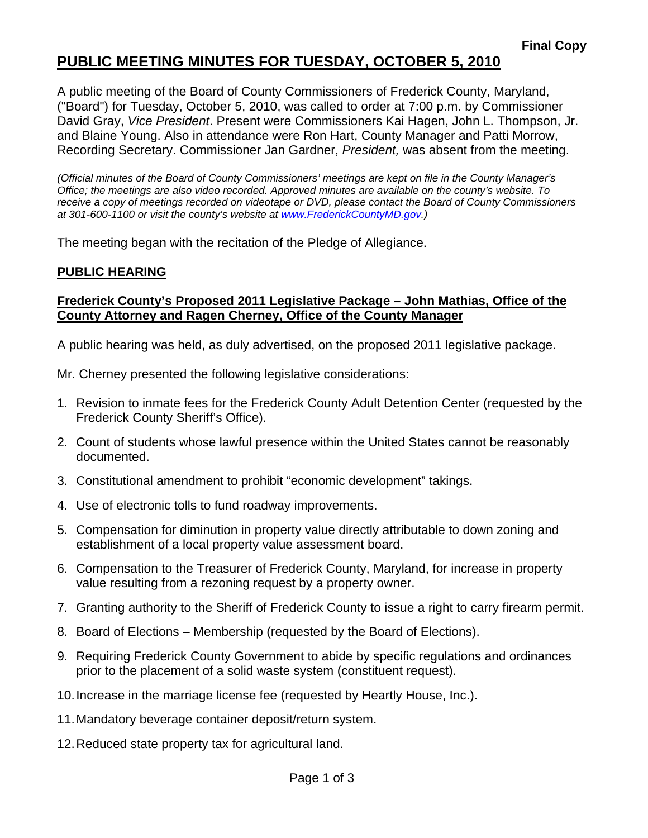## **PUBLIC MEETING MINUTES FOR TUESDAY, OCTOBER 5, 2010**

A public meeting of the Board of County Commissioners of Frederick County, Maryland, ("Board") for Tuesday, October 5, 2010, was called to order at 7:00 p.m. by Commissioner David Gray, *Vice President*. Present were Commissioners Kai Hagen, John L. Thompson, Jr. and Blaine Young. Also in attendance were Ron Hart, County Manager and Patti Morrow, Recording Secretary. Commissioner Jan Gardner, *President,* was absent from the meeting.

*(Official minutes of the Board of County Commissioners' meetings are kept on file in the County Manager's Office; the meetings are also video recorded. Approved minutes are available on the county's website. To receive a copy of meetings recorded on videotape or DVD, please contact the Board of County Commissioners at 301-600-1100 or visit the county's website at [www.FrederickCountyMD.gov](http://www.frederickcountymd.gov/).)* 

The meeting began with the recitation of the Pledge of Allegiance.

### **PUBLIC HEARING**

#### **Frederick County's Proposed 2011 Legislative Package – John Mathias, Office of the County Attorney and Ragen Cherney, Office of the County Manager**

A public hearing was held, as duly advertised, on the proposed 2011 legislative package.

Mr. Cherney presented the following legislative considerations:

- 1. Revision to inmate fees for the Frederick County Adult Detention Center (requested by the Frederick County Sheriff's Office).
- 2. Count of students whose lawful presence within the United States cannot be reasonably documented.
- 3. Constitutional amendment to prohibit "economic development" takings.
- 4. Use of electronic tolls to fund roadway improvements.
- 5. Compensation for diminution in property value directly attributable to down zoning and establishment of a local property value assessment board.
- 6. Compensation to the Treasurer of Frederick County, Maryland, for increase in property value resulting from a rezoning request by a property owner.
- 7. Granting authority to the Sheriff of Frederick County to issue a right to carry firearm permit.
- 8. Board of Elections Membership (requested by the Board of Elections).
- 9. Requiring Frederick County Government to abide by specific regulations and ordinances prior to the placement of a solid waste system (constituent request).
- 10. Increase in the marriage license fee (requested by Heartly House, Inc.).
- 11. Mandatory beverage container deposit/return system.
- 12. Reduced state property tax for agricultural land.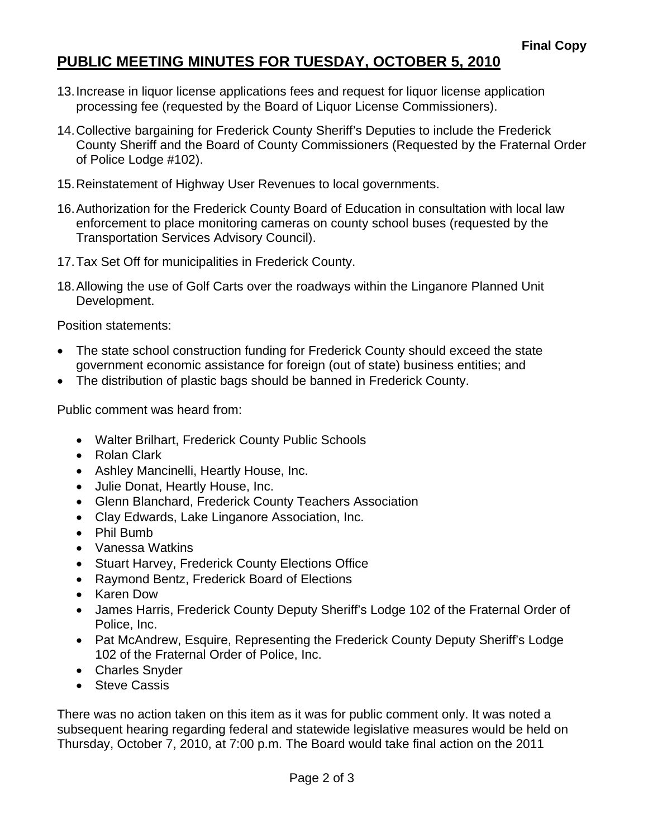## **PUBLIC MEETING MINUTES FOR TUESDAY, OCTOBER 5, 2010**

- 13. Increase in liquor license applications fees and request for liquor license application processing fee (requested by the Board of Liquor License Commissioners).
- 14. Collective bargaining for Frederick County Sheriff's Deputies to include the Frederick County Sheriff and the Board of County Commissioners (Requested by the Fraternal Order of Police Lodge #102).
- 15. Reinstatement of Highway User Revenues to local governments.
- 16. Authorization for the Frederick County Board of Education in consultation with local law enforcement to place monitoring cameras on county school buses (requested by the Transportation Services Advisory Council).
- 17. Tax Set Off for municipalities in Frederick County.
- 18. Allowing the use of Golf Carts over the roadways within the Linganore Planned Unit Development.

Position statements:

- The state school construction funding for Frederick County should exceed the state government economic assistance for foreign (out of state) business entities; and
- The distribution of plastic bags should be banned in Frederick County.

Public comment was heard from:

- Walter Brilhart, Frederick County Public Schools
- Rolan Clark
- Ashley Mancinelli, Heartly House, Inc.
- Julie Donat, Heartly House, Inc.
- Glenn Blanchard, Frederick County Teachers Association
- Clay Edwards, Lake Linganore Association, Inc.
- Phil Bumb
- Vanessa Watkins
- Stuart Harvey, Frederick County Elections Office
- Raymond Bentz, Frederick Board of Elections
- Karen Dow
- James Harris, Frederick County Deputy Sheriff's Lodge 102 of the Fraternal Order of Police, Inc.
- Pat McAndrew, Esquire, Representing the Frederick County Deputy Sheriff's Lodge 102 of the Fraternal Order of Police, Inc.
- Charles Snyder
- Steve Cassis

There was no action taken on this item as it was for public comment only. It was noted a subsequent hearing regarding federal and statewide legislative measures would be held on Thursday, October 7, 2010, at 7:00 p.m. The Board would take final action on the 2011